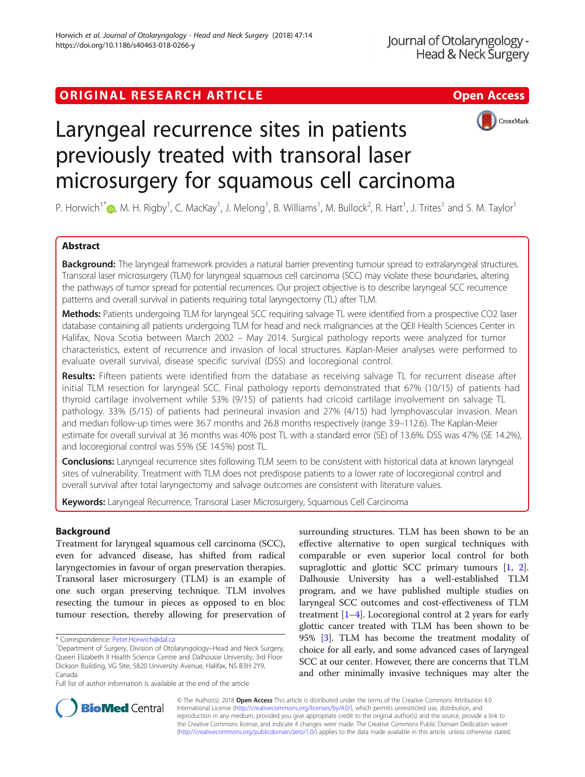## ORIGINAL RESEARCH ARTICLE **Solution Contract Contract Contract Contract Contract Contract Contract Contract Contract Contract Contract Contract Contract Contract Contract Contract Contract Contract Contract Contract Contra**



# Laryngeal recurrence sites in patients previously treated with transoral laser microsurgery for squamous cell carcinoma

P. Horwich<sup>1\*</sup>®, M. H. Rigby<sup>1</sup>, C. MacKay<sup>1</sup>, J. Melong<sup>1</sup>, B. Williams<sup>1</sup>, M. Bullock<sup>2</sup>, R. Hart<sup>1</sup>, J. Trites<sup>1</sup> and S. M. Taylor<sup>1</sup>

## Abstract

Background: The laryngeal framework provides a natural barrier preventing tumour spread to extralaryngeal structures. Transoral laser microsurgery (TLM) for laryngeal squamous cell carcinoma (SCC) may violate these boundaries, altering the pathways of tumor spread for potential recurrences. Our project objective is to describe laryngeal SCC recurrence patterns and overall survival in patients requiring total laryngectomy (TL) after TLM.

Methods: Patients undergoing TLM for laryngeal SCC requiring salvage TL were identified from a prospective CO2 laser database containing all patients undergoing TLM for head and neck malignancies at the QEII Health Sciences Center in Halifax, Nova Scotia between March 2002 – May 2014. Surgical pathology reports were analyzed for tumor characteristics, extent of recurrence and invasion of local structures. Kaplan-Meier analyses were performed to evaluate overall survival, disease specific survival (DSS) and locoregional control.

Results: Fifteen patients were identified from the database as receiving salvage TL for recurrent disease after initial TLM resection for laryngeal SCC. Final pathology reports demonstrated that 67% (10/15) of patients had thyroid cartilage involvement while 53% (9/15) of patients had cricoid cartilage involvement on salvage TL pathology. 33% (5/15) of patients had perineural invasion and 27% (4/15) had lymphovascular invasion. Mean and median follow-up times were 36.7 months and 26.8 months respectively (range 3.9–112.6). The Kaplan-Meier estimate for overall survival at 36 months was 40% post TL with a standard error (SE) of 13.6%. DSS was 47% (SE 14.2%), and locoregional control was 55% (SE 14.5%) post TL.

Conclusions: Laryngeal recurrence sites following TLM seem to be consistent with historical data at known laryngeal sites of vulnerability. Treatment with TLM does not predispose patients to a lower rate of locoregional control and overall survival after total laryngectomy and salvage outcomes are consistent with literature values.

Keywords: Laryngeal Recurrence, Transoral Laser Microsurgery, Squamous Cell Carcinoma

## Background

Treatment for laryngeal squamous cell carcinoma (SCC), even for advanced disease, has shifted from radical laryngectomies in favour of organ preservation therapies. Transoral laser microsurgery (TLM) is an example of one such organ preserving technique. TLM involves resecting the tumour in pieces as opposed to en bloc tumour resection, thereby allowing for preservation of

Full list of author information is available at the end of the article

surrounding structures. TLM has been shown to be an effective alternative to open surgical techniques with comparable or even superior local control for both supraglottic and glottic SCC primary tumours [[1,](#page-4-0) [2](#page-4-0)]. Dalhousie University has a well-established TLM program, and we have published multiple studies on laryngeal SCC outcomes and cost-effectiveness of TLM treatment  $[1-4]$  $[1-4]$  $[1-4]$  $[1-4]$ . Locoregional control at 2 years for early glottic cancer treated with TLM has been shown to be 95% [[3\]](#page-4-0). TLM has become the treatment modality of choice for all early, and some advanced cases of laryngeal SCC at our center. However, there are concerns that TLM and other minimally invasive techniques may alter the



© The Author(s). 2018 Open Access This article is distributed under the terms of the Creative Commons Attribution 4.0 International License [\(http://creativecommons.org/licenses/by/4.0/](http://creativecommons.org/licenses/by/4.0/)), which permits unrestricted use, distribution, and reproduction in any medium, provided you give appropriate credit to the original author(s) and the source, provide a link to the Creative Commons license, and indicate if changes were made. The Creative Commons Public Domain Dedication waiver [\(http://creativecommons.org/publicdomain/zero/1.0/](http://creativecommons.org/publicdomain/zero/1.0/)) applies to the data made available in this article, unless otherwise stated.

<sup>\*</sup> Correspondence: [Peter.Horwich@dal.ca](mailto:Peter.Horwich@dal.ca) <sup>1</sup>

Department of Surgery, Division of Otolaryngology–Head and Neck Surgery, Queen Elizabeth II Health Science Centre and Dalhousie University, 3rd Floor Dickson Building, VG Site, 5820 University Avenue, Halifax, NS B3H 2Y9, Canada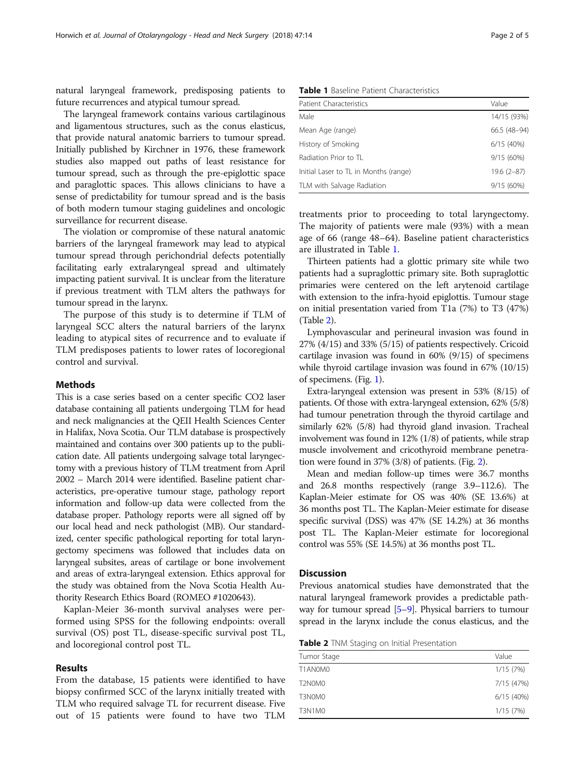natural laryngeal framework, predisposing patients to future recurrences and atypical tumour spread.

The laryngeal framework contains various cartilaginous and ligamentous structures, such as the conus elasticus, that provide natural anatomic barriers to tumour spread. Initially published by Kirchner in 1976, these framework studies also mapped out paths of least resistance for tumour spread, such as through the pre-epiglottic space and paraglottic spaces. This allows clinicians to have a sense of predictability for tumour spread and is the basis of both modern tumour staging guidelines and oncologic surveillance for recurrent disease.

The violation or compromise of these natural anatomic barriers of the laryngeal framework may lead to atypical tumour spread through perichondrial defects potentially facilitating early extralaryngeal spread and ultimately impacting patient survival. It is unclear from the literature if previous treatment with TLM alters the pathways for tumour spread in the larynx.

The purpose of this study is to determine if TLM of laryngeal SCC alters the natural barriers of the larynx leading to atypical sites of recurrence and to evaluate if TLM predisposes patients to lower rates of locoregional control and survival.

## Methods

This is a case series based on a center specific CO2 laser database containing all patients undergoing TLM for head and neck malignancies at the QEII Health Sciences Center in Halifax, Nova Scotia. Our TLM database is prospectively maintained and contains over 300 patients up to the publication date. All patients undergoing salvage total laryngectomy with a previous history of TLM treatment from April 2002 – March 2014 were identified. Baseline patient characteristics, pre-operative tumour stage, pathology report information and follow-up data were collected from the database proper. Pathology reports were all signed off by our local head and neck pathologist (MB). Our standardized, center specific pathological reporting for total laryngectomy specimens was followed that includes data on laryngeal subsites, areas of cartilage or bone involvement and areas of extra-laryngeal extension. Ethics approval for the study was obtained from the Nova Scotia Health Authority Research Ethics Board (ROMEO #1020643).

Kaplan-Meier 36-month survival analyses were performed using SPSS for the following endpoints: overall survival (OS) post TL, disease-specific survival post TL, and locoregional control post TL.

## Results

From the database, 15 patients were identified to have biopsy confirmed SCC of the larynx initially treated with TLM who required salvage TL for recurrent disease. Five out of 15 patients were found to have two TLM

Table 1 Baseline Patient Characteristics

| Patient Characteristics               | Value        |
|---------------------------------------|--------------|
| Male                                  | 14/15 (93%)  |
| Mean Age (range)                      | 66.5 (48-94) |
| History of Smoking                    | 6/15(40%)    |
| Radiation Prior to TL                 | 9/15(60%)    |
| Initial Laser to TL in Months (range) | $19.6(2-87)$ |
| TLM with Salvage Radiation            | 9/15 (60%)   |

treatments prior to proceeding to total laryngectomy. The majority of patients were male (93%) with a mean age of 66 (range 48–64). Baseline patient characteristics are illustrated in Table 1.

Thirteen patients had a glottic primary site while two patients had a supraglottic primary site. Both supraglottic primaries were centered on the left arytenoid cartilage with extension to the infra-hyoid epiglottis. Tumour stage on initial presentation varied from T1a (7%) to T3 (47%) (Table 2).

Lymphovascular and perineural invasion was found in 27% (4/15) and 33% (5/15) of patients respectively. Cricoid cartilage invasion was found in 60% (9/15) of specimens while thyroid cartilage invasion was found in 67% (10/15) of specimens. (Fig. [1](#page-2-0)).

Extra-laryngeal extension was present in 53% (8/15) of patients. Of those with extra-laryngeal extension, 62% (5/8) had tumour penetration through the thyroid cartilage and similarly 62% (5/8) had thyroid gland invasion. Tracheal involvement was found in 12% (1/8) of patients, while strap muscle involvement and cricothyroid membrane penetration were found in 37% (3/8) of patients. (Fig. [2](#page-2-0)).

Mean and median follow-up times were 36.7 months and 26.8 months respectively (range 3.9–112.6). The Kaplan-Meier estimate for OS was 40% (SE 13.6%) at 36 months post TL. The Kaplan-Meier estimate for disease specific survival (DSS) was 47% (SE 14.2%) at 36 months post TL. The Kaplan-Meier estimate for locoregional control was 55% (SE 14.5%) at 36 months post TL.

## Discussion

Previous anatomical studies have demonstrated that the natural laryngeal framework provides a predictable pathway for tumour spread [\[5](#page-4-0)–[9](#page-4-0)]. Physical barriers to tumour spread in the larynx include the conus elasticus, and the

**Table 2** TNM Staging on Initial Presentation

| Tumor Stage | Value      |
|-------------|------------|
| T1AN0M0     | 1/15(7%)   |
| T2N0M0      | 7/15 (47%) |
| T3N0M0      | 6/15(40%)  |
| T3N1M0      | 1/15(7%)   |
|             |            |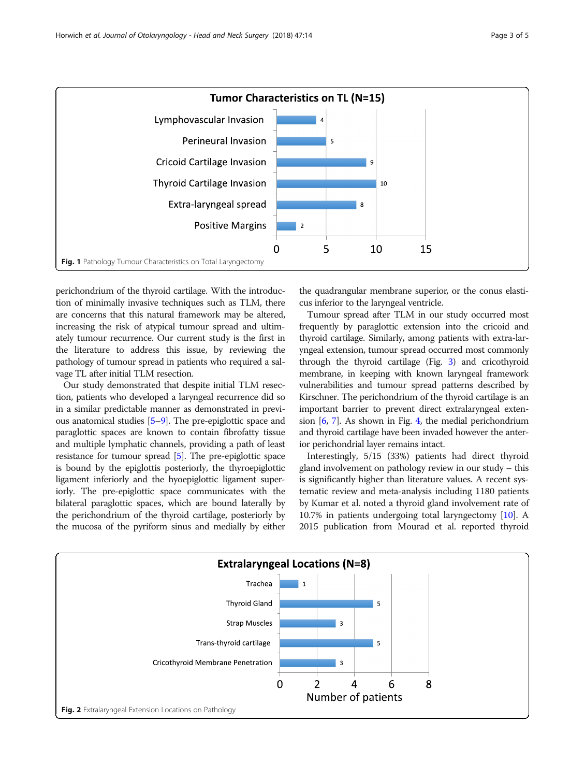<span id="page-2-0"></span>

perichondrium of the thyroid cartilage. With the introduction of minimally invasive techniques such as TLM, there are concerns that this natural framework may be altered, increasing the risk of atypical tumour spread and ultimately tumour recurrence. Our current study is the first in the literature to address this issue, by reviewing the pathology of tumour spread in patients who required a salvage TL after initial TLM resection.

Our study demonstrated that despite initial TLM resection, patients who developed a laryngeal recurrence did so in a similar predictable manner as demonstrated in previous anatomical studies [\[5](#page-4-0)–[9](#page-4-0)]. The pre-epiglottic space and paraglottic spaces are known to contain fibrofatty tissue and multiple lymphatic channels, providing a path of least resistance for tumour spread [[5\]](#page-4-0). The pre-epiglottic space is bound by the epiglottis posteriorly, the thyroepiglottic ligament inferiorly and the hyoepiglottic ligament superiorly. The pre-epiglottic space communicates with the bilateral paraglottic spaces, which are bound laterally by the perichondrium of the thyroid cartilage, posteriorly by the mucosa of the pyriform sinus and medially by either

the quadrangular membrane superior, or the conus elasticus inferior to the laryngeal ventricle.

Tumour spread after TLM in our study occurred most frequently by paraglottic extension into the cricoid and thyroid cartilage. Similarly, among patients with extra-laryngeal extension, tumour spread occurred most commonly through the thyroid cartilage (Fig. [3](#page-3-0)) and cricothyroid membrane, in keeping with known laryngeal framework vulnerabilities and tumour spread patterns described by Kirschner. The perichondrium of the thyroid cartilage is an important barrier to prevent direct extralaryngeal extension [[6](#page-4-0), [7\]](#page-4-0). As shown in Fig. [4,](#page-3-0) the medial perichondrium and thyroid cartilage have been invaded however the anterior perichondrial layer remains intact.

Interestingly, 5/15 (33%) patients had direct thyroid gland involvement on pathology review in our study – this is significantly higher than literature values. A recent systematic review and meta-analysis including 1180 patients by Kumar et al. noted a thyroid gland involvement rate of 10.7% in patients undergoing total laryngectomy [[10](#page-4-0)]. A 2015 publication from Mourad et al. reported thyroid

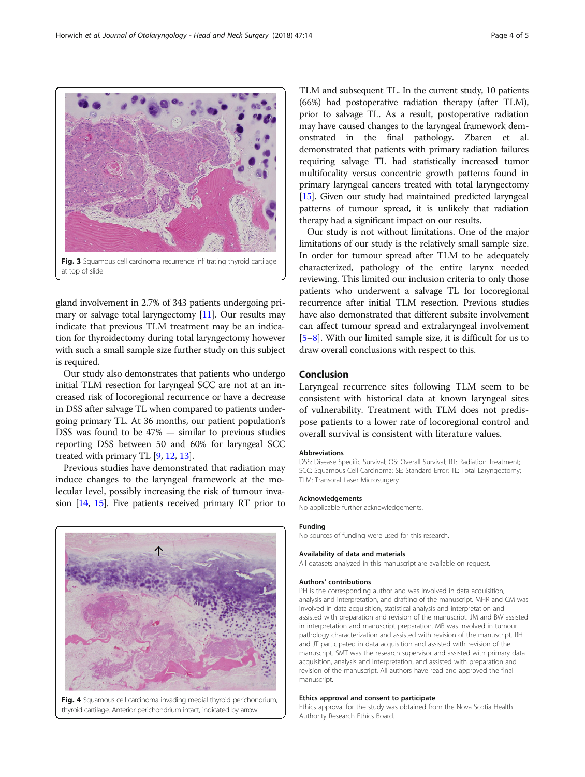gland involvement in 2.7% of 343 patients undergoing primary or salvage total laryngectomy [\[11\]](#page-4-0). Our results may indicate that previous TLM treatment may be an indication for thyroidectomy during total laryngectomy however with such a small sample size further study on this subject is required.

Our study also demonstrates that patients who undergo initial TLM resection for laryngeal SCC are not at an increased risk of locoregional recurrence or have a decrease in DSS after salvage TL when compared to patients undergoing primary TL. At 36 months, our patient population's DSS was found to be 47% — similar to previous studies reporting DSS between 50 and 60% for laryngeal SCC treated with primary TL [\[9,](#page-4-0) [12](#page-4-0), [13\]](#page-4-0).

Previous studies have demonstrated that radiation may induce changes to the laryngeal framework at the molecular level, possibly increasing the risk of tumour invasion [\[14,](#page-4-0) [15\]](#page-4-0). Five patients received primary RT prior to

TLM and subsequent TL. In the current study, 10 patients (66%) had postoperative radiation therapy (after TLM), prior to salvage TL. As a result, postoperative radiation may have caused changes to the laryngeal framework demonstrated in the final pathology. Zbaren et al. demonstrated that patients with primary radiation failures requiring salvage TL had statistically increased tumor multifocality versus concentric growth patterns found in primary laryngeal cancers treated with total laryngectomy [[15](#page-4-0)]. Given our study had maintained predicted laryngeal patterns of tumour spread, it is unlikely that radiation therapy had a significant impact on our results.

Our study is not without limitations. One of the major limitations of our study is the relatively small sample size. In order for tumour spread after TLM to be adequately characterized, pathology of the entire larynx needed reviewing. This limited our inclusion criteria to only those patients who underwent a salvage TL for locoregional recurrence after initial TLM resection. Previous studies have also demonstrated that different subsite involvement can affect tumour spread and extralaryngeal involvement [[5](#page-4-0)–[8](#page-4-0)]. With our limited sample size, it is difficult for us to draw overall conclusions with respect to this.

## Conclusion

Laryngeal recurrence sites following TLM seem to be consistent with historical data at known laryngeal sites of vulnerability. Treatment with TLM does not predispose patients to a lower rate of locoregional control and overall survival is consistent with literature values.

#### Abbreviations

DSS: Disease Specific Survival; OS: Overall Survival; RT: Radiation Treatment; SCC: Squamous Cell Carcinoma; SE: Standard Error; TL: Total Laryngectomy; TLM: Transoral Laser Microsurgery

#### Acknowledgements

No applicable further acknowledgements.

#### Funding

No sources of funding were used for this research.

#### Availability of data and materials

All datasets analyzed in this manuscript are available on request.

### Authors' contributions

PH is the corresponding author and was involved in data acquisition, analysis and interpretation, and drafting of the manuscript. MHR and CM was involved in data acquisition, statistical analysis and interpretation and assisted with preparation and revision of the manuscript. JM and BW assisted in interpretation and manuscript preparation. MB was involved in tumour pathology characterization and assisted with revision of the manuscript. RH and JT participated in data acquisition and assisted with revision of the manuscript. SMT was the research supervisor and assisted with primary data acquisition, analysis and interpretation, and assisted with preparation and revision of the manuscript. All authors have read and approved the final manuscript.

#### Ethics approval and consent to participate

Ethics approval for the study was obtained from the Nova Scotia Health Authority Research Ethics Board.



<span id="page-3-0"></span>